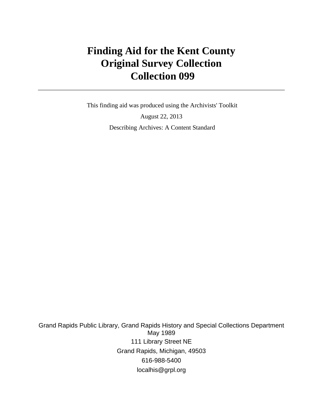# **Finding Aid for the Kent County Original Survey Collection Collection 099**

 This finding aid was produced using the Archivists' Toolkit August 22, 2013 Describing Archives: A Content Standard

Grand Rapids Public Library, Grand Rapids History and Special Collections Department May 1989 111 Library Street NE Grand Rapids, Michigan, 49503 616-988-5400 localhis@grpl.org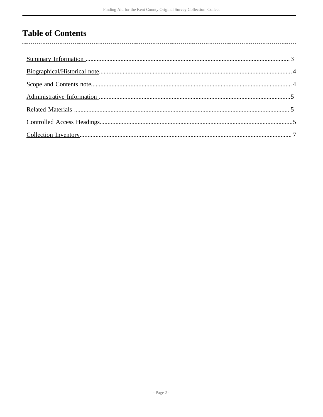# **Table of Contents**

 $\overline{\phantom{a}}$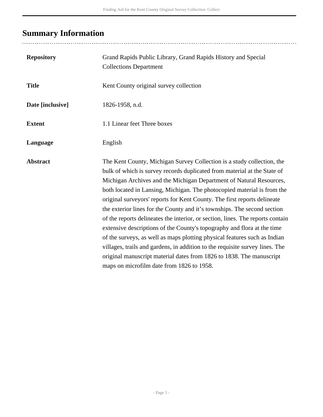# <span id="page-2-0"></span>**Summary Information**

| <b>Repository</b> | Grand Rapids Public Library, Grand Rapids History and Special<br><b>Collections Department</b>                                                                                                                                                                                                                                                                                                                                                                                                                                                                                                                                                                                                                                                                                                                                                                                                              |
|-------------------|-------------------------------------------------------------------------------------------------------------------------------------------------------------------------------------------------------------------------------------------------------------------------------------------------------------------------------------------------------------------------------------------------------------------------------------------------------------------------------------------------------------------------------------------------------------------------------------------------------------------------------------------------------------------------------------------------------------------------------------------------------------------------------------------------------------------------------------------------------------------------------------------------------------|
| <b>Title</b>      | Kent County original survey collection                                                                                                                                                                                                                                                                                                                                                                                                                                                                                                                                                                                                                                                                                                                                                                                                                                                                      |
| Date [inclusive]  | 1826-1958, n.d.                                                                                                                                                                                                                                                                                                                                                                                                                                                                                                                                                                                                                                                                                                                                                                                                                                                                                             |
| <b>Extent</b>     | 1.1 Linear feet Three boxes                                                                                                                                                                                                                                                                                                                                                                                                                                                                                                                                                                                                                                                                                                                                                                                                                                                                                 |
| Language          | English                                                                                                                                                                                                                                                                                                                                                                                                                                                                                                                                                                                                                                                                                                                                                                                                                                                                                                     |
| <b>Abstract</b>   | The Kent County, Michigan Survey Collection is a study collection, the<br>bulk of which is survey records duplicated from material at the State of<br>Michigan Archives and the Michigan Department of Natural Resources,<br>both located in Lansing, Michigan. The photocopied material is from the<br>original surveyors' reports for Kent County. The first reports delineate<br>the exterior lines for the County and it's townships. The second section<br>of the reports delineates the interior, or section, lines. The reports contain<br>extensive descriptions of the County's topography and flora at the time<br>of the surveys, as well as maps plotting physical features such as Indian<br>villages, trails and gardens, in addition to the requisite survey lines. The<br>original manuscript material dates from 1826 to 1838. The manuscript<br>maps on microfilm date from 1826 to 1958. |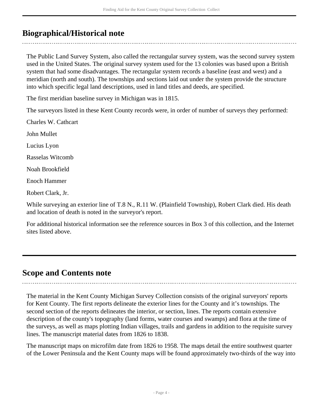# <span id="page-3-0"></span>**Biographical/Historical note**

The Public Land Survey System, also called the rectangular survey system, was the second survey system used in the United States. The original survey system used for the 13 colonies was based upon a British system that had some disadvantages. The rectangular system records a baseline (east and west) and a meridian (north and south). The townships and sections laid out under the system provide the structure into which specific legal land descriptions, used in land titles and deeds, are specified.

The first meridian baseline survey in Michigan was in 1815.

The surveyors listed in these Kent County records were, in order of number of surveys they performed:

Charles W. Cathcart

John Mullet

Lucius Lyon

Rasselas Witcomb

Noah Brookfield

Enoch Hammer

Robert Clark, Jr.

While surveying an exterior line of T.8 N., R.11 W. (Plainfield Township), Robert Clark died. His death and location of death is noted in the surveyor's report.

For additional historical information see the reference sources in Box 3 of this collection, and the Internet sites listed above.

## <span id="page-3-1"></span>**Scope and Contents note**

The material in the Kent County Michigan Survey Collection consists of the original surveyors' reports for Kent County. The first reports delineate the exterior lines for the County and it's townships. The second section of the reports delineates the interior, or section, lines. The reports contain extensive description of the county's topography (land forms, water courses and swamps) and flora at the time of the surveys, as well as maps plotting Indian villages, trails and gardens in addition to the requisite survey lines. The manuscript material dates from 1826 to 1838.

The manuscript maps on microfilm date from 1826 to 1958. The maps detail the entire southwest quarter of the Lower Peninsula and the Kent County maps will be found approximately two-thirds of the way into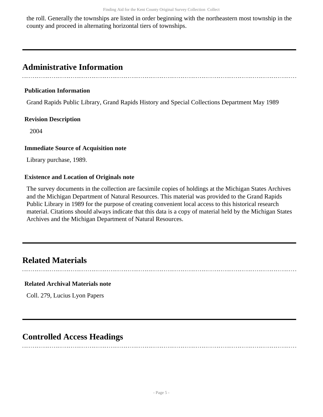the roll. Generally the townships are listed in order beginning with the northeastern most township in the county and proceed in alternating horizontal tiers of townships.

## <span id="page-4-0"></span>**Administrative Information**

#### **Publication Information**

Grand Rapids Public Library, Grand Rapids History and Special Collections Department May 1989

#### **Revision Description**

2004

#### **Immediate Source of Acquisition note**

Library purchase, 1989.

#### **Existence and Location of Originals note**

The survey documents in the collection are facsimile copies of holdings at the Michigan States Archives and the Michigan Department of Natural Resources. This material was provided to the Grand Rapids Public Library in 1989 for the purpose of creating convenient local access to this historical research material. Citations should always indicate that this data is a copy of material held by the Michigan States Archives and the Michigan Department of Natural Resources.

## <span id="page-4-1"></span>**Related Materials**

### **Related Archival Materials note**

Coll. 279, Lucius Lyon Papers

## <span id="page-4-2"></span>**Controlled Access Headings**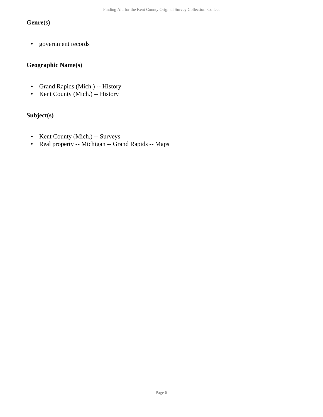### **Genre(s)**

• government records

### **Geographic Name(s)**

- Grand Rapids (Mich.) -- History
- Kent County (Mich.) -- History

### **Subject(s)**

- Kent County (Mich.) -- Surveys
- Real property -- Michigan -- Grand Rapids -- Maps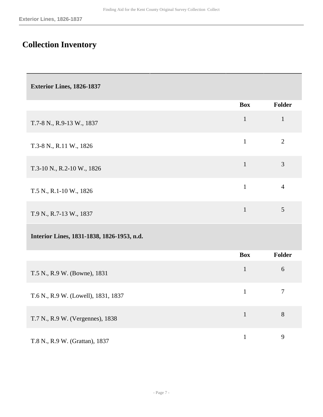# <span id="page-6-0"></span>**Collection Inventory**

| Exterior Lines, 1826-1837                  |              |                |
|--------------------------------------------|--------------|----------------|
|                                            | <b>Box</b>   | <b>Folder</b>  |
| T.7-8 N., R.9-13 W., 1837                  | $\mathbf{1}$ | $\mathbf{1}$   |
| T.3-8 N., R.11 W., 1826                    | $\mathbf{1}$ | $\overline{2}$ |
| T.3-10 N., R.2-10 W., 1826                 | $\mathbf{1}$ | 3              |
| T.5 N., R.1-10 W., 1826                    | $\mathbf{1}$ | $\overline{4}$ |
| T.9 N., R.7-13 W., 1837                    | $\mathbf{1}$ | 5              |
| Interior Lines, 1831-1838, 1826-1953, n.d. |              |                |
|                                            | <b>Box</b>   | <b>Folder</b>  |
| T.5 N., R.9 W. (Bowne), 1831               | $\mathbf{1}$ | $\sqrt{6}$     |
| T.6 N., R.9 W. (Lowell), 1831, 1837        | $\mathbf{1}$ | $\tau$         |
| T.7 N., R.9 W. (Vergennes), 1838           | $\mathbf{1}$ | 8              |
| T.8 N., R.9 W. (Grattan), 1837             | $1\,$        | 9              |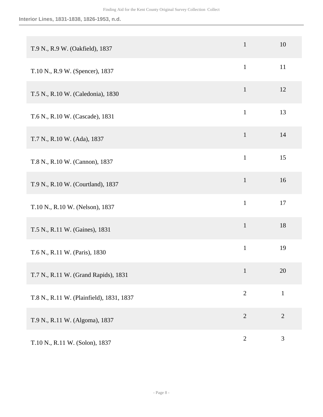#### **Interior Lines, 1831-1838, 1826-1953, n.d.**

| T.9 N., R.9 W. (Oakfield), 1837          | $\mathbf{1}$   | 10             |
|------------------------------------------|----------------|----------------|
| T.10 N., R.9 W. (Spencer), 1837          | $\mathbf{1}$   | 11             |
| T.5 N., R.10 W. (Caledonia), 1830        | $\mathbf{1}$   | 12             |
| T.6 N., R.10 W. (Cascade), 1831          | $\mathbf{1}$   | 13             |
| T.7 N., R.10 W. (Ada), 1837              | $\mathbf{1}$   | 14             |
| T.8 N., R.10 W. (Cannon), 1837           | $\mathbf{1}$   | 15             |
| T.9 N., R.10 W. (Courtland), 1837        | $\mathbf{1}$   | 16             |
| T.10 N., R.10 W. (Nelson), 1837          | $\mathbf{1}$   | 17             |
| T.5 N., R.11 W. (Gaines), 1831           | $\mathbf{1}$   | 18             |
| T.6 N., R.11 W. (Paris), 1830            | $\mathbf{1}$   | 19             |
| T.7 N., R.11 W. (Grand Rapids), 1831     | $\mathbf{1}$   | 20             |
| T.8 N., R.11 W. (Plainfield), 1831, 1837 | $\overline{2}$ | $\mathbf{1}$   |
| T.9 N., R.11 W. (Algoma), 1837           | $\sqrt{2}$     | $\sqrt{2}$     |
| T.10 N., R.11 W. (Solon), 1837           | $\overline{2}$ | $\mathfrak{Z}$ |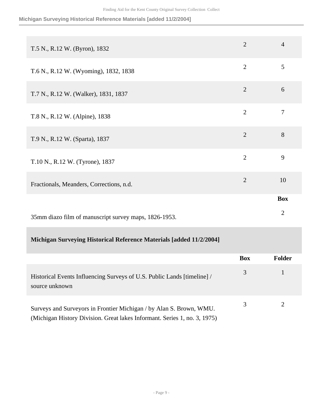**Michigan Surveying Historical Reference Materials [added 11/2/2004]**

| T.5 N., R.12 W. (Byron), 1832                         | $\overline{2}$ | $\overline{4}$ |
|-------------------------------------------------------|----------------|----------------|
| T.6 N., R.12 W. (Wyoming), 1832, 1838                 | $\overline{2}$ | 5              |
| T.7 N., R.12 W. (Walker), 1831, 1837                  | $\overline{2}$ | 6              |
| T.8 N., R.12 W. (Alpine), 1838                        | $\overline{2}$ | $\overline{7}$ |
| T.9 N., R.12 W. (Sparta), 1837                        | $\overline{2}$ | 8              |
| T.10 N., R.12 W. (Tyrone), 1837                       | $\overline{2}$ | 9              |
| Fractionals, Meanders, Corrections, n.d.              | $\overline{2}$ | 10             |
|                                                       |                | <b>Box</b>     |
| 35mm diazo film of manuscript survey maps, 1826-1953. |                | $\overline{2}$ |
|                                                       |                |                |

### **Michigan Surveying Historical Reference Materials [added 11/2/2004]**

|                                                                                                                                                  | <b>Box</b> | Folder |
|--------------------------------------------------------------------------------------------------------------------------------------------------|------------|--------|
| Historical Events Influencing Surveys of U.S. Public Lands [timeline] /<br>source unknown                                                        |            |        |
| Surveys and Surveyors in Frontier Michigan / by Alan S. Brown, WMU.<br>(Michigan History Division. Great lakes Informant. Series 1, no. 3, 1975) |            |        |